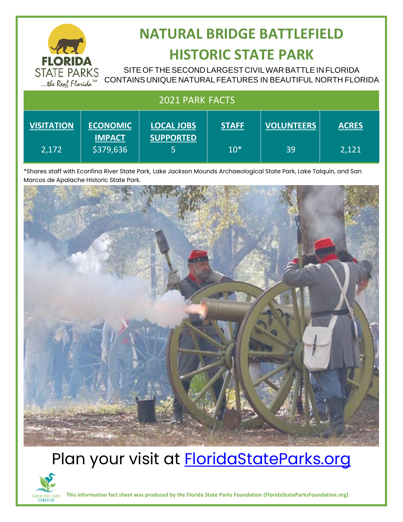

## **NATURAL BRIDGE BATTLEFIELD HISTORIC STATE PARK**

SITE OF THE SECOND LARGEST CIVIL WAR BATTLE IN FLORIDA CONTAINS UNIQUE NATURAL FEATURES IN BEAUTIFUL NORTH FLORIDA

| 2021 PARK FACTS   |                                  |                                       |              |                   |              |
|-------------------|----------------------------------|---------------------------------------|--------------|-------------------|--------------|
| <b>VISITATION</b> | <b>ECONOMIC</b><br><b>IMPACT</b> | <b>LOCAL JOBS</b><br><b>SUPPORTED</b> | <b>STAFF</b> | <b>VOLUNTEERS</b> | <b>ACRES</b> |
| 2,172             | \$379,636                        |                                       | $10*$        | 39                | 2,121        |

\*Shares staff with Econfina River State Park, Lake Jackson Mounds Archaeological State Park, Lake Talquin, and San Marcos de Apalache Historic State Park.



## Plan your visit at **FloridaStateParks.org**



**This information fact sheet was produced by the Florida State Parks Foundation (FloridaStateParksFoundation.org)**